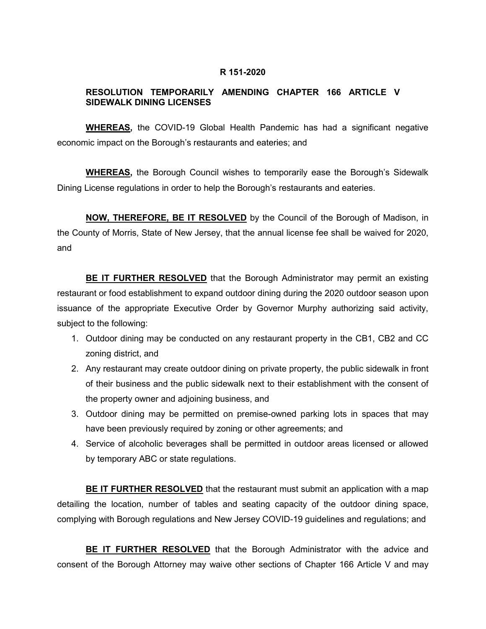#### **R 151-2020**

# **RESOLUTION TEMPORARILY AMENDING CHAPTER 166 ARTICLE V SIDEWALK DINING LICENSES**

**WHEREAS,** the COVID-19 Global Health Pandemic has had a significant negative economic impact on the Borough's restaurants and eateries; and

**WHEREAS,** the Borough Council wishes to temporarily ease the Borough's Sidewalk Dining License regulations in order to help the Borough's restaurants and eateries.

**NOW, THEREFORE, BE IT RESOLVED** by the Council of the Borough of Madison, in the County of Morris, State of New Jersey, that the annual license fee shall be waived for 2020, and

**BE IT FURTHER RESOLVED** that the Borough Administrator may permit an existing restaurant or food establishment to expand outdoor dining during the 2020 outdoor season upon issuance of the appropriate Executive Order by Governor Murphy authorizing said activity, subject to the following:

- 1. Outdoor dining may be conducted on any restaurant property in the CB1, CB2 and CC zoning district, and
- 2. Any restaurant may create outdoor dining on private property, the public sidewalk in front of their business and the public sidewalk next to their establishment with the consent of the property owner and adjoining business, and
- 3. Outdoor dining may be permitted on premise-owned parking lots in spaces that may have been previously required by zoning or other agreements; and
- 4. Service of alcoholic beverages shall be permitted in outdoor areas licensed or allowed by temporary ABC or state regulations.

**BE IT FURTHER RESOLVED** that the restaurant must submit an application with a map detailing the location, number of tables and seating capacity of the outdoor dining space, complying with Borough regulations and New Jersey COVID-19 guidelines and regulations; and

**BE IT FURTHER RESOLVED** that the Borough Administrator with the advice and consent of the Borough Attorney may waive other sections of Chapter 166 Article V and may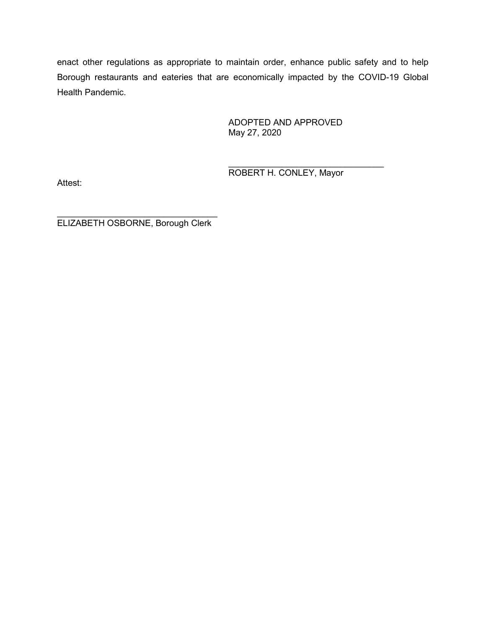enact other regulations as appropriate to maintain order, enhance public safety and to help Borough restaurants and eateries that are economically impacted by the COVID-19 Global Health Pandemic.

> ADOPTED AND APPROVED May 27, 2020

 $\frac{1}{2}$  , and the set of the set of the set of the set of the set of the set of the set of the set of the set of the set of the set of the set of the set of the set of the set of the set of the set of the set of the set ROBERT H. CONLEY, Mayor

Attest:

 $\overline{\phantom{a}}$  , where  $\overline{\phantom{a}}$  , where  $\overline{\phantom{a}}$  ,  $\overline{\phantom{a}}$  ,  $\overline{\phantom{a}}$  ,  $\overline{\phantom{a}}$  ,  $\overline{\phantom{a}}$  ,  $\overline{\phantom{a}}$  ,  $\overline{\phantom{a}}$  ,  $\overline{\phantom{a}}$  ,  $\overline{\phantom{a}}$  ,  $\overline{\phantom{a}}$  ,  $\overline{\phantom{a}}$  ,  $\overline{\phantom{a}}$  ,  $\overline{\phantom{a}}$  , ELIZABETH OSBORNE, Borough Clerk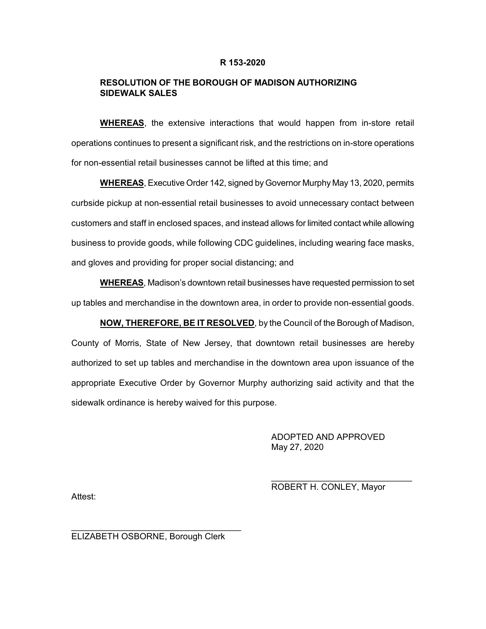#### **R 153-2020**

### **RESOLUTION OF THE BOROUGH OF MADISON AUTHORIZING SIDEWALK SALES**

**WHEREAS**, the extensive interactions that would happen from in-store retail operations continues to present a significant risk, and the restrictions on in-store operations for non-essential retail businesses cannot be lifted at this time; and

**WHEREAS**, Executive Order 142, signed by Governor Murphy May 13, 2020, permits curbside pickup at non-essential retail businesses to avoid unnecessary contact between customers and staff in enclosed spaces, and instead allows for limited contact while allowing business to provide goods, while following CDC guidelines, including wearing face masks, and gloves and providing for proper social distancing; and

**WHEREAS**, Madison's downtown retail businesses have requested permission to set up tables and merchandise in the downtown area, in order to provide non-essential goods.

**NOW, THEREFORE, BE IT RESOLVED**, by the Council of the Borough of Madison, County of Morris, State of New Jersey, that downtown retail businesses are hereby authorized to set up tables and merchandise in the downtown area upon issuance of the appropriate Executive Order by Governor Murphy authorizing said activity and that the sidewalk ordinance is hereby waived for this purpose.

> ADOPTED AND APPROVED May 27, 2020

ROBERT H. CONLEY, Mayor

\_\_\_\_\_\_\_\_\_\_\_\_\_\_\_\_\_\_\_\_\_\_\_\_\_\_\_\_\_

Attest:

ELIZABETH OSBORNE, Borough Clerk

\_\_\_\_\_\_\_\_\_\_\_\_\_\_\_\_\_\_\_\_\_\_\_\_\_\_\_\_\_\_\_\_\_\_\_